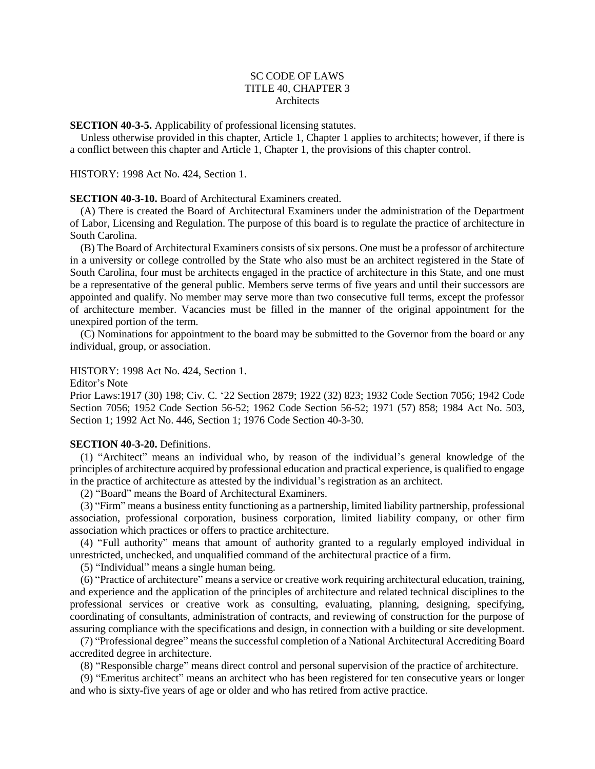# SC CODE OF LAWS TITLE 40, CHAPTER 3 **Architects**

**SECTION 40-3-5.** Applicability of professional licensing statutes.

Unless otherwise provided in this chapter, Article 1, Chapter 1 applies to architects; however, if there is a conflict between this chapter and Article 1, Chapter 1, the provisions of this chapter control.

### HISTORY: 1998 Act No. 424, Section 1.

## **SECTION 40-3-10.** Board of Architectural Examiners created.

(A) There is created the Board of Architectural Examiners under the administration of the Department of Labor, Licensing and Regulation. The purpose of this board is to regulate the practice of architecture in South Carolina.

(B) The Board of Architectural Examiners consists of six persons. One must be a professor of architecture in a university or college controlled by the State who also must be an architect registered in the State of South Carolina, four must be architects engaged in the practice of architecture in this State, and one must be a representative of the general public. Members serve terms of five years and until their successors are appointed and qualify. No member may serve more than two consecutive full terms, except the professor of architecture member. Vacancies must be filled in the manner of the original appointment for the unexpired portion of the term.

(C) Nominations for appointment to the board may be submitted to the Governor from the board or any individual, group, or association.

# HISTORY: 1998 Act No. 424, Section 1.

Editor's Note

Prior Laws:1917 (30) 198; Civ. C. '22 Section 2879; 1922 (32) 823; 1932 Code Section 7056; 1942 Code Section 7056; 1952 Code Section 56-52; 1962 Code Section 56-52; 1971 (57) 858; 1984 Act No. 503, Section 1; 1992 Act No. 446, Section 1; 1976 Code Section 40-3-30.

## **SECTION 40-3-20.** Definitions.

(1) "Architect" means an individual who, by reason of the individual's general knowledge of the principles of architecture acquired by professional education and practical experience, is qualified to engage in the practice of architecture as attested by the individual's registration as an architect.

(2) "Board" means the Board of Architectural Examiners.

(3) "Firm" means a business entity functioning as a partnership, limited liability partnership, professional association, professional corporation, business corporation, limited liability company, or other firm association which practices or offers to practice architecture.

(4) "Full authority" means that amount of authority granted to a regularly employed individual in unrestricted, unchecked, and unqualified command of the architectural practice of a firm.

(5) "Individual" means a single human being.

(6) "Practice of architecture" means a service or creative work requiring architectural education, training, and experience and the application of the principles of architecture and related technical disciplines to the professional services or creative work as consulting, evaluating, planning, designing, specifying, coordinating of consultants, administration of contracts, and reviewing of construction for the purpose of assuring compliance with the specifications and design, in connection with a building or site development.

(7) "Professional degree" means the successful completion of a National Architectural Accrediting Board accredited degree in architecture.

(8) "Responsible charge" means direct control and personal supervision of the practice of architecture.

(9) "Emeritus architect" means an architect who has been registered for ten consecutive years or longer and who is sixty-five years of age or older and who has retired from active practice.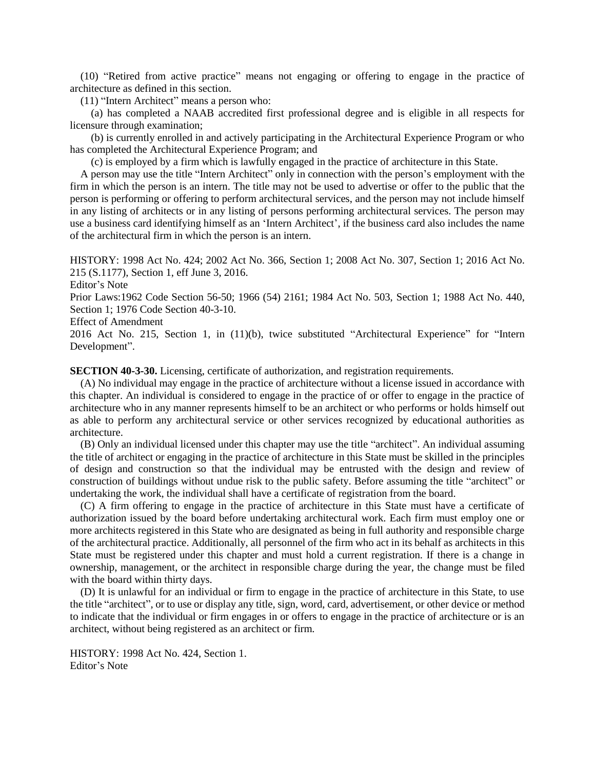(10) "Retired from active practice" means not engaging or offering to engage in the practice of architecture as defined in this section.

(11) "Intern Architect" means a person who:

(a) has completed a NAAB accredited first professional degree and is eligible in all respects for licensure through examination;

(b) is currently enrolled in and actively participating in the Architectural Experience Program or who has completed the Architectural Experience Program; and

(c) is employed by a firm which is lawfully engaged in the practice of architecture in this State.

A person may use the title "Intern Architect" only in connection with the person's employment with the firm in which the person is an intern. The title may not be used to advertise or offer to the public that the person is performing or offering to perform architectural services, and the person may not include himself in any listing of architects or in any listing of persons performing architectural services. The person may use a business card identifying himself as an 'Intern Architect', if the business card also includes the name of the architectural firm in which the person is an intern.

HISTORY: 1998 Act No. 424; 2002 Act No. 366, Section 1; 2008 Act No. 307, Section 1; 2016 Act No. 215 (S.1177), Section 1, eff June 3, 2016.

Editor's Note

Prior Laws:1962 Code Section 56-50; 1966 (54) 2161; 1984 Act No. 503, Section 1; 1988 Act No. 440, Section 1; 1976 Code Section 40-3-10.

Effect of Amendment

2016 Act No. 215, Section 1, in (11)(b), twice substituted "Architectural Experience" for "Intern Development".

**SECTION 40-3-30.** Licensing, certificate of authorization, and registration requirements.

(A) No individual may engage in the practice of architecture without a license issued in accordance with this chapter. An individual is considered to engage in the practice of or offer to engage in the practice of architecture who in any manner represents himself to be an architect or who performs or holds himself out as able to perform any architectural service or other services recognized by educational authorities as architecture.

(B) Only an individual licensed under this chapter may use the title "architect". An individual assuming the title of architect or engaging in the practice of architecture in this State must be skilled in the principles of design and construction so that the individual may be entrusted with the design and review of construction of buildings without undue risk to the public safety. Before assuming the title "architect" or undertaking the work, the individual shall have a certificate of registration from the board.

(C) A firm offering to engage in the practice of architecture in this State must have a certificate of authorization issued by the board before undertaking architectural work. Each firm must employ one or more architects registered in this State who are designated as being in full authority and responsible charge of the architectural practice. Additionally, all personnel of the firm who act in its behalf as architects in this State must be registered under this chapter and must hold a current registration. If there is a change in ownership, management, or the architect in responsible charge during the year, the change must be filed with the board within thirty days.

(D) It is unlawful for an individual or firm to engage in the practice of architecture in this State, to use the title "architect", or to use or display any title, sign, word, card, advertisement, or other device or method to indicate that the individual or firm engages in or offers to engage in the practice of architecture or is an architect, without being registered as an architect or firm.

HISTORY: 1998 Act No. 424, Section 1. Editor's Note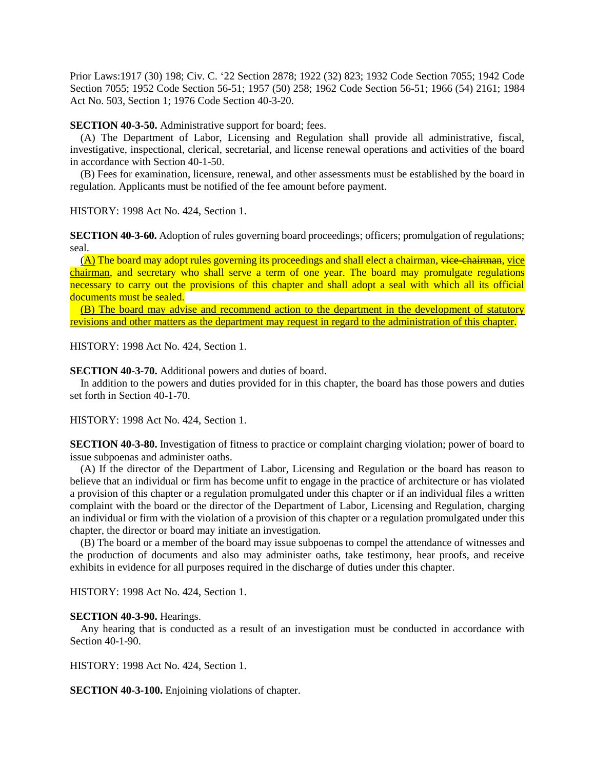Prior Laws:1917 (30) 198; Civ. C. '22 Section 2878; 1922 (32) 823; 1932 Code Section 7055; 1942 Code Section 7055; 1952 Code Section 56-51; 1957 (50) 258; 1962 Code Section 56-51; 1966 (54) 2161; 1984 Act No. 503, Section 1; 1976 Code Section 40-3-20.

**SECTION 40-3-50.** Administrative support for board; fees.

(A) The Department of Labor, Licensing and Regulation shall provide all administrative, fiscal, investigative, inspectional, clerical, secretarial, and license renewal operations and activities of the board in accordance with Section 40-1-50.

(B) Fees for examination, licensure, renewal, and other assessments must be established by the board in regulation. Applicants must be notified of the fee amount before payment.

HISTORY: 1998 Act No. 424, Section 1.

**SECTION 40-3-60.** Adoption of rules governing board proceedings; officers; promulgation of regulations; seal.

 $(A)$  The board may adopt rules governing its proceedings and shall elect a chairman, vice-chairman, vice chairman, and secretary who shall serve a term of one year. The board may promulgate regulations necessary to carry out the provisions of this chapter and shall adopt a seal with which all its official documents must be sealed.

(B) The board may advise and recommend action to the department in the development of statutory revisions and other matters as the department may request in regard to the administration of this chapter.

HISTORY: 1998 Act No. 424, Section 1.

**SECTION 40-3-70.** Additional powers and duties of board.

In addition to the powers and duties provided for in this chapter, the board has those powers and duties set forth in Section 40-1-70.

HISTORY: 1998 Act No. 424, Section 1.

**SECTION 40-3-80.** Investigation of fitness to practice or complaint charging violation; power of board to issue subpoenas and administer oaths.

(A) If the director of the Department of Labor, Licensing and Regulation or the board has reason to believe that an individual or firm has become unfit to engage in the practice of architecture or has violated a provision of this chapter or a regulation promulgated under this chapter or if an individual files a written complaint with the board or the director of the Department of Labor, Licensing and Regulation, charging an individual or firm with the violation of a provision of this chapter or a regulation promulgated under this chapter, the director or board may initiate an investigation.

(B) The board or a member of the board may issue subpoenas to compel the attendance of witnesses and the production of documents and also may administer oaths, take testimony, hear proofs, and receive exhibits in evidence for all purposes required in the discharge of duties under this chapter.

HISTORY: 1998 Act No. 424, Section 1.

#### **SECTION 40-3-90.** Hearings.

Any hearing that is conducted as a result of an investigation must be conducted in accordance with Section 40-1-90.

HISTORY: 1998 Act No. 424, Section 1.

**SECTION 40-3-100.** Enjoining violations of chapter.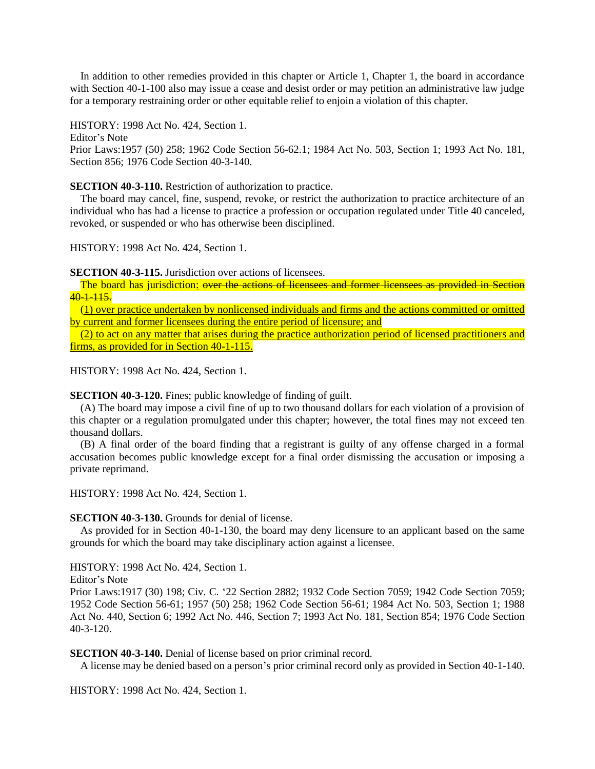In addition to other remedies provided in this chapter or Article 1, Chapter 1, the board in accordance with Section 40-1-100 also may issue a cease and desist order or may petition an administrative law judge for a temporary restraining order or other equitable relief to enjoin a violation of this chapter.

HISTORY: 1998 Act No. 424, Section 1. Editor's Note Prior Laws:1957 (50) 258; 1962 Code Section 56-62.1; 1984 Act No. 503, Section 1; 1993 Act No. 181, Section 856; 1976 Code Section 40-3-140.

## **SECTION 40-3-110.** Restriction of authorization to practice.

The board may cancel, fine, suspend, revoke, or restrict the authorization to practice architecture of an individual who has had a license to practice a profession or occupation regulated under Title 40 canceled, revoked, or suspended or who has otherwise been disciplined.

HISTORY: 1998 Act No. 424, Section 1.

**SECTION 40-3-115.** Jurisdiction over actions of licensees.

The board has jurisdiction: over the actions of licensees and former licensees as provided in Section  $40-1-115.$ 

(1) over practice undertaken by nonlicensed individuals and firms and the actions committed or omitted by current and former licensees during the entire period of licensure; and

(2) to act on any matter that arises during the practice authorization period of licensed practitioners and firms, as provided for in Section 40-1-115.

HISTORY: 1998 Act No. 424, Section 1.

# **SECTION 40-3-120.** Fines; public knowledge of finding of guilt.

(A) The board may impose a civil fine of up to two thousand dollars for each violation of a provision of this chapter or a regulation promulgated under this chapter; however, the total fines may not exceed ten thousand dollars.

(B) A final order of the board finding that a registrant is guilty of any offense charged in a formal accusation becomes public knowledge except for a final order dismissing the accusation or imposing a private reprimand.

HISTORY: 1998 Act No. 424, Section 1.

## **SECTION 40-3-130.** Grounds for denial of license.

As provided for in Section 40-1-130, the board may deny licensure to an applicant based on the same grounds for which the board may take disciplinary action against a licensee.

HISTORY: 1998 Act No. 424, Section 1.

Editor's Note

Prior Laws:1917 (30) 198; Civ. C. '22 Section 2882; 1932 Code Section 7059; 1942 Code Section 7059; 1952 Code Section 56-61; 1957 (50) 258; 1962 Code Section 56-61; 1984 Act No. 503, Section 1; 1988 Act No. 440, Section 6; 1992 Act No. 446, Section 7; 1993 Act No. 181, Section 854; 1976 Code Section 40-3-120.

**SECTION 40-3-140.** Denial of license based on prior criminal record.

A license may be denied based on a person's prior criminal record only as provided in Section 40-1-140.

HISTORY: 1998 Act No. 424, Section 1.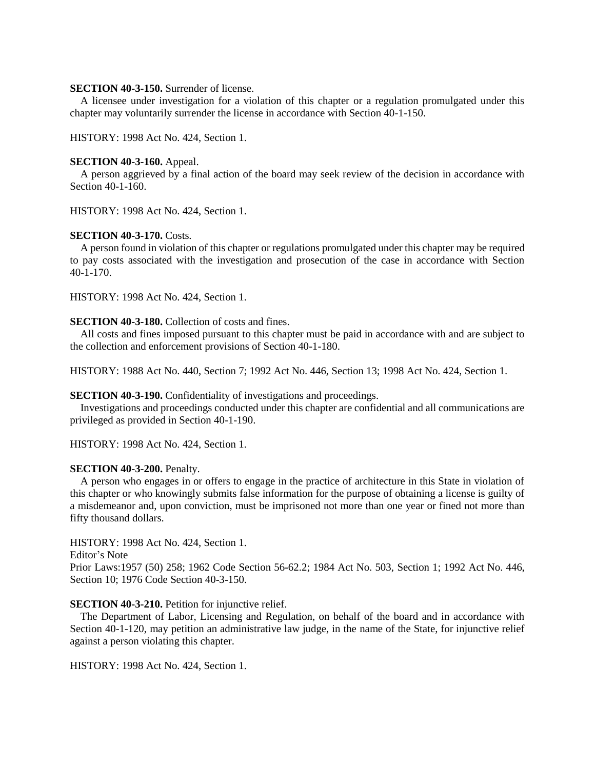# **SECTION 40-3-150.** Surrender of license.

A licensee under investigation for a violation of this chapter or a regulation promulgated under this chapter may voluntarily surrender the license in accordance with Section 40-1-150.

HISTORY: 1998 Act No. 424, Section 1.

#### **SECTION 40-3-160.** Appeal.

A person aggrieved by a final action of the board may seek review of the decision in accordance with Section 40-1-160.

HISTORY: 1998 Act No. 424, Section 1.

## **SECTION 40-3-170.** Costs.

A person found in violation of this chapter or regulations promulgated under this chapter may be required to pay costs associated with the investigation and prosecution of the case in accordance with Section 40-1-170.

HISTORY: 1998 Act No. 424, Section 1.

#### **SECTION 40-3-180.** Collection of costs and fines.

All costs and fines imposed pursuant to this chapter must be paid in accordance with and are subject to the collection and enforcement provisions of Section 40-1-180.

HISTORY: 1988 Act No. 440, Section 7; 1992 Act No. 446, Section 13; 1998 Act No. 424, Section 1.

## **SECTION 40-3-190.** Confidentiality of investigations and proceedings.

Investigations and proceedings conducted under this chapter are confidential and all communications are privileged as provided in Section 40-1-190.

HISTORY: 1998 Act No. 424, Section 1.

#### **SECTION 40-3-200.** Penalty.

A person who engages in or offers to engage in the practice of architecture in this State in violation of this chapter or who knowingly submits false information for the purpose of obtaining a license is guilty of a misdemeanor and, upon conviction, must be imprisoned not more than one year or fined not more than fifty thousand dollars.

HISTORY: 1998 Act No. 424, Section 1.

Editor's Note

Prior Laws:1957 (50) 258; 1962 Code Section 56-62.2; 1984 Act No. 503, Section 1; 1992 Act No. 446, Section 10; 1976 Code Section 40-3-150.

#### **SECTION 40-3-210.** Petition for injunctive relief.

The Department of Labor, Licensing and Regulation, on behalf of the board and in accordance with Section 40-1-120, may petition an administrative law judge, in the name of the State, for injunctive relief against a person violating this chapter.

HISTORY: 1998 Act No. 424, Section 1.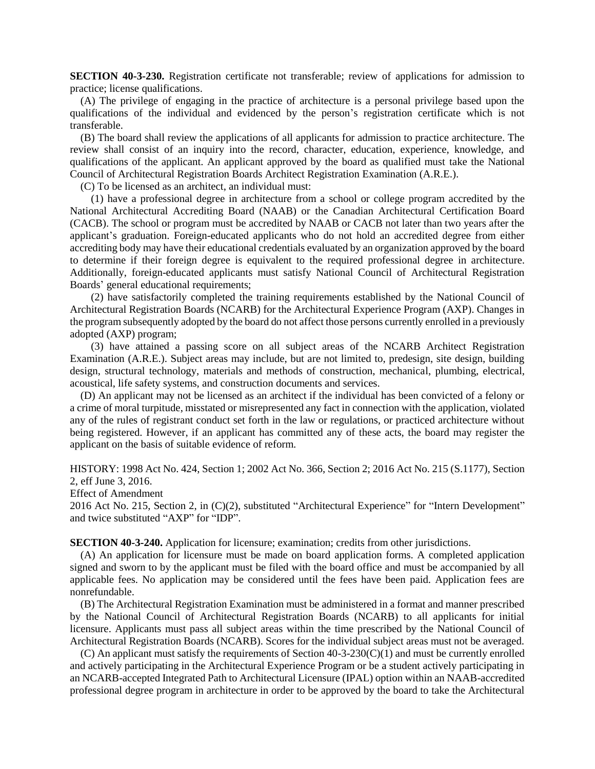**SECTION 40-3-230.** Registration certificate not transferable; review of applications for admission to practice; license qualifications.

(A) The privilege of engaging in the practice of architecture is a personal privilege based upon the qualifications of the individual and evidenced by the person's registration certificate which is not transferable.

(B) The board shall review the applications of all applicants for admission to practice architecture. The review shall consist of an inquiry into the record, character, education, experience, knowledge, and qualifications of the applicant. An applicant approved by the board as qualified must take the National Council of Architectural Registration Boards Architect Registration Examination (A.R.E.).

(C) To be licensed as an architect, an individual must:

(1) have a professional degree in architecture from a school or college program accredited by the National Architectural Accrediting Board (NAAB) or the Canadian Architectural Certification Board (CACB). The school or program must be accredited by NAAB or CACB not later than two years after the applicant's graduation. Foreign-educated applicants who do not hold an accredited degree from either accrediting body may have their educational credentials evaluated by an organization approved by the board to determine if their foreign degree is equivalent to the required professional degree in architecture. Additionally, foreign-educated applicants must satisfy National Council of Architectural Registration Boards' general educational requirements;

(2) have satisfactorily completed the training requirements established by the National Council of Architectural Registration Boards (NCARB) for the Architectural Experience Program (AXP). Changes in the program subsequently adopted by the board do not affect those persons currently enrolled in a previously adopted (AXP) program;

(3) have attained a passing score on all subject areas of the NCARB Architect Registration Examination (A.R.E.). Subject areas may include, but are not limited to, predesign, site design, building design, structural technology, materials and methods of construction, mechanical, plumbing, electrical, acoustical, life safety systems, and construction documents and services.

(D) An applicant may not be licensed as an architect if the individual has been convicted of a felony or a crime of moral turpitude, misstated or misrepresented any fact in connection with the application, violated any of the rules of registrant conduct set forth in the law or regulations, or practiced architecture without being registered. However, if an applicant has committed any of these acts, the board may register the applicant on the basis of suitable evidence of reform.

HISTORY: 1998 Act No. 424, Section 1; 2002 Act No. 366, Section 2; 2016 Act No. 215 (S.1177), Section 2, eff June 3, 2016.

Effect of Amendment

2016 Act No. 215, Section 2, in (C)(2), substituted "Architectural Experience" for "Intern Development" and twice substituted "AXP" for "IDP".

**SECTION 40-3-240.** Application for licensure; examination; credits from other jurisdictions.

(A) An application for licensure must be made on board application forms. A completed application signed and sworn to by the applicant must be filed with the board office and must be accompanied by all applicable fees. No application may be considered until the fees have been paid. Application fees are nonrefundable.

(B) The Architectural Registration Examination must be administered in a format and manner prescribed by the National Council of Architectural Registration Boards (NCARB) to all applicants for initial licensure. Applicants must pass all subject areas within the time prescribed by the National Council of Architectural Registration Boards (NCARB). Scores for the individual subject areas must not be averaged.

(C) An applicant must satisfy the requirements of Section 40-3-230(C)(1) and must be currently enrolled and actively participating in the Architectural Experience Program or be a student actively participating in an NCARB-accepted Integrated Path to Architectural Licensure (IPAL) option within an NAAB-accredited professional degree program in architecture in order to be approved by the board to take the Architectural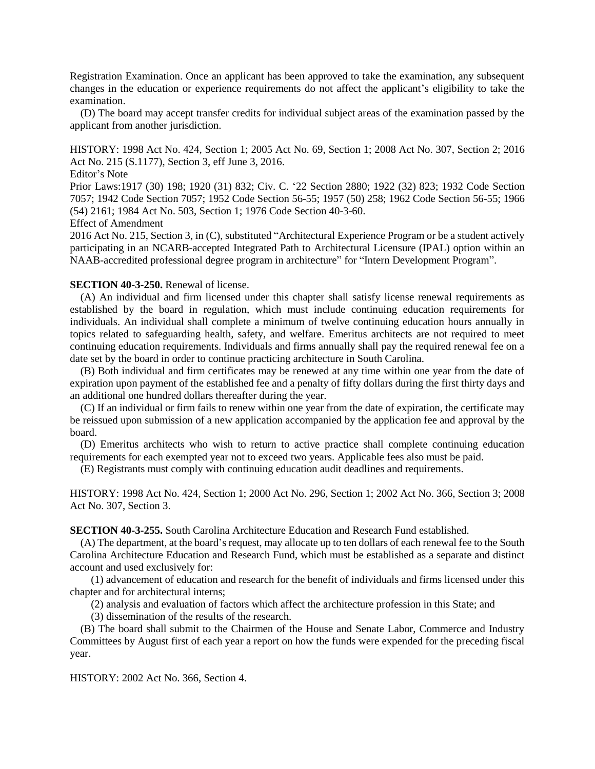Registration Examination. Once an applicant has been approved to take the examination, any subsequent changes in the education or experience requirements do not affect the applicant's eligibility to take the examination.

(D) The board may accept transfer credits for individual subject areas of the examination passed by the applicant from another jurisdiction.

HISTORY: 1998 Act No. 424, Section 1; 2005 Act No. 69, Section 1; 2008 Act No. 307, Section 2; 2016 Act No. 215 (S.1177), Section 3, eff June 3, 2016.

Editor's Note

Prior Laws:1917 (30) 198; 1920 (31) 832; Civ. C. '22 Section 2880; 1922 (32) 823; 1932 Code Section 7057; 1942 Code Section 7057; 1952 Code Section 56-55; 1957 (50) 258; 1962 Code Section 56-55; 1966 (54) 2161; 1984 Act No. 503, Section 1; 1976 Code Section 40-3-60.

# Effect of Amendment

2016 Act No. 215, Section 3, in (C), substituted "Architectural Experience Program or be a student actively participating in an NCARB-accepted Integrated Path to Architectural Licensure (IPAL) option within an NAAB-accredited professional degree program in architecture" for "Intern Development Program".

# **SECTION 40-3-250.** Renewal of license.

(A) An individual and firm licensed under this chapter shall satisfy license renewal requirements as established by the board in regulation, which must include continuing education requirements for individuals. An individual shall complete a minimum of twelve continuing education hours annually in topics related to safeguarding health, safety, and welfare. Emeritus architects are not required to meet continuing education requirements. Individuals and firms annually shall pay the required renewal fee on a date set by the board in order to continue practicing architecture in South Carolina.

(B) Both individual and firm certificates may be renewed at any time within one year from the date of expiration upon payment of the established fee and a penalty of fifty dollars during the first thirty days and an additional one hundred dollars thereafter during the year.

(C) If an individual or firm fails to renew within one year from the date of expiration, the certificate may be reissued upon submission of a new application accompanied by the application fee and approval by the board.

(D) Emeritus architects who wish to return to active practice shall complete continuing education requirements for each exempted year not to exceed two years. Applicable fees also must be paid.

(E) Registrants must comply with continuing education audit deadlines and requirements.

HISTORY: 1998 Act No. 424, Section 1; 2000 Act No. 296, Section 1; 2002 Act No. 366, Section 3; 2008 Act No. 307, Section 3.

**SECTION 40-3-255.** South Carolina Architecture Education and Research Fund established.

(A) The department, at the board's request, may allocate up to ten dollars of each renewal fee to the South Carolina Architecture Education and Research Fund, which must be established as a separate and distinct account and used exclusively for:

(1) advancement of education and research for the benefit of individuals and firms licensed under this chapter and for architectural interns;

(2) analysis and evaluation of factors which affect the architecture profession in this State; and

(3) dissemination of the results of the research.

(B) The board shall submit to the Chairmen of the House and Senate Labor, Commerce and Industry Committees by August first of each year a report on how the funds were expended for the preceding fiscal year.

HISTORY: 2002 Act No. 366, Section 4.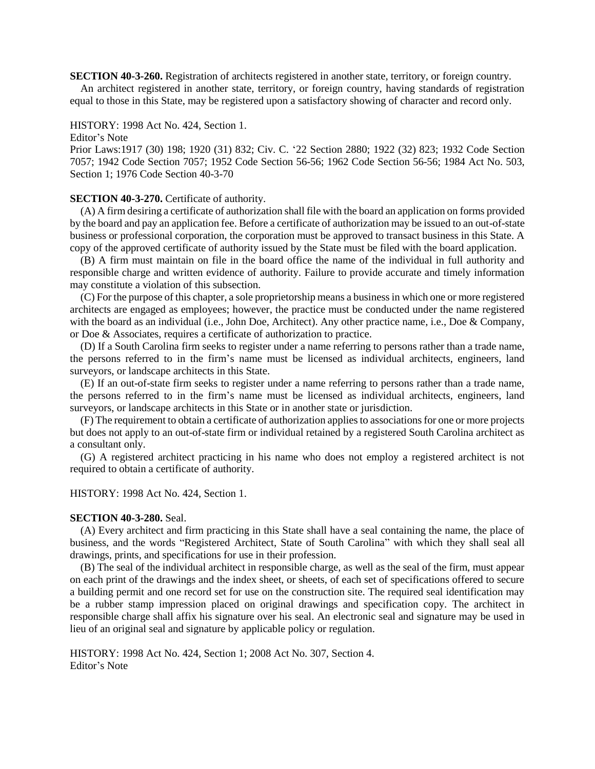**SECTION 40-3-260.** Registration of architects registered in another state, territory, or foreign country. An architect registered in another state, territory, or foreign country, having standards of registration equal to those in this State, may be registered upon a satisfactory showing of character and record only.

# HISTORY: 1998 Act No. 424, Section 1.

Editor's Note

Prior Laws:1917 (30) 198; 1920 (31) 832; Civ. C. '22 Section 2880; 1922 (32) 823; 1932 Code Section 7057; 1942 Code Section 7057; 1952 Code Section 56-56; 1962 Code Section 56-56; 1984 Act No. 503, Section 1; 1976 Code Section 40-3-70

#### **SECTION 40-3-270.** Certificate of authority.

(A) A firm desiring a certificate of authorization shall file with the board an application on forms provided by the board and pay an application fee. Before a certificate of authorization may be issued to an out-of-state business or professional corporation, the corporation must be approved to transact business in this State. A copy of the approved certificate of authority issued by the State must be filed with the board application.

(B) A firm must maintain on file in the board office the name of the individual in full authority and responsible charge and written evidence of authority. Failure to provide accurate and timely information may constitute a violation of this subsection.

(C) For the purpose of this chapter, a sole proprietorship means a business in which one or more registered architects are engaged as employees; however, the practice must be conducted under the name registered with the board as an individual (i.e., John Doe, Architect). Any other practice name, i.e., Doe & Company, or Doe & Associates, requires a certificate of authorization to practice.

(D) If a South Carolina firm seeks to register under a name referring to persons rather than a trade name, the persons referred to in the firm's name must be licensed as individual architects, engineers, land surveyors, or landscape architects in this State.

(E) If an out-of-state firm seeks to register under a name referring to persons rather than a trade name, the persons referred to in the firm's name must be licensed as individual architects, engineers, land surveyors, or landscape architects in this State or in another state or jurisdiction.

(F) The requirement to obtain a certificate of authorization applies to associations for one or more projects but does not apply to an out-of-state firm or individual retained by a registered South Carolina architect as a consultant only.

(G) A registered architect practicing in his name who does not employ a registered architect is not required to obtain a certificate of authority.

#### HISTORY: 1998 Act No. 424, Section 1.

## **SECTION 40-3-280.** Seal.

(A) Every architect and firm practicing in this State shall have a seal containing the name, the place of business, and the words "Registered Architect, State of South Carolina" with which they shall seal all drawings, prints, and specifications for use in their profession.

(B) The seal of the individual architect in responsible charge, as well as the seal of the firm, must appear on each print of the drawings and the index sheet, or sheets, of each set of specifications offered to secure a building permit and one record set for use on the construction site. The required seal identification may be a rubber stamp impression placed on original drawings and specification copy. The architect in responsible charge shall affix his signature over his seal. An electronic seal and signature may be used in lieu of an original seal and signature by applicable policy or regulation.

HISTORY: 1998 Act No. 424, Section 1; 2008 Act No. 307, Section 4. Editor's Note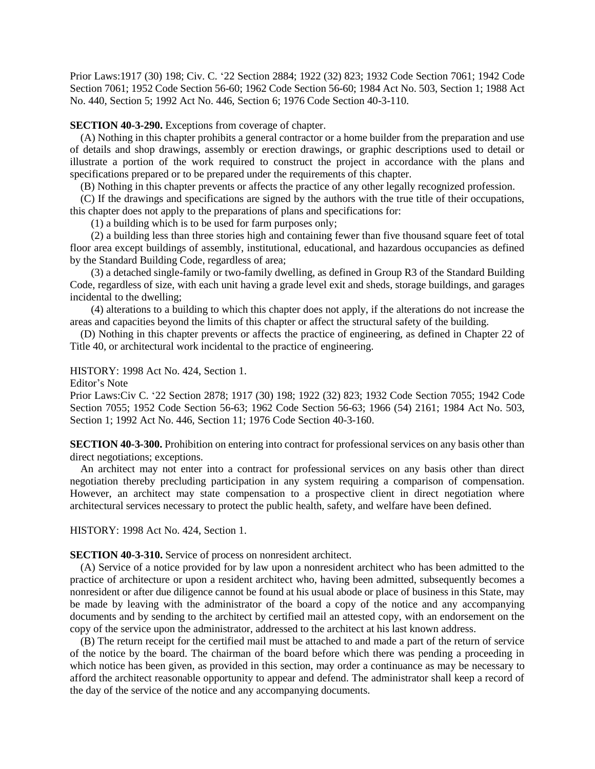Prior Laws:1917 (30) 198; Civ. C. '22 Section 2884; 1922 (32) 823; 1932 Code Section 7061; 1942 Code Section 7061; 1952 Code Section 56-60; 1962 Code Section 56-60; 1984 Act No. 503, Section 1; 1988 Act No. 440, Section 5; 1992 Act No. 446, Section 6; 1976 Code Section 40-3-110.

**SECTION 40-3-290.** Exceptions from coverage of chapter.

(A) Nothing in this chapter prohibits a general contractor or a home builder from the preparation and use of details and shop drawings, assembly or erection drawings, or graphic descriptions used to detail or illustrate a portion of the work required to construct the project in accordance with the plans and specifications prepared or to be prepared under the requirements of this chapter.

(B) Nothing in this chapter prevents or affects the practice of any other legally recognized profession.

(C) If the drawings and specifications are signed by the authors with the true title of their occupations, this chapter does not apply to the preparations of plans and specifications for:

(1) a building which is to be used for farm purposes only;

(2) a building less than three stories high and containing fewer than five thousand square feet of total floor area except buildings of assembly, institutional, educational, and hazardous occupancies as defined by the Standard Building Code, regardless of area;

(3) a detached single-family or two-family dwelling, as defined in Group R3 of the Standard Building Code, regardless of size, with each unit having a grade level exit and sheds, storage buildings, and garages incidental to the dwelling;

(4) alterations to a building to which this chapter does not apply, if the alterations do not increase the areas and capacities beyond the limits of this chapter or affect the structural safety of the building.

(D) Nothing in this chapter prevents or affects the practice of engineering, as defined in Chapter 22 of Title 40, or architectural work incidental to the practice of engineering.

HISTORY: 1998 Act No. 424, Section 1.

Editor's Note

Prior Laws:Civ C. '22 Section 2878; 1917 (30) 198; 1922 (32) 823; 1932 Code Section 7055; 1942 Code Section 7055; 1952 Code Section 56-63; 1962 Code Section 56-63; 1966 (54) 2161; 1984 Act No. 503, Section 1; 1992 Act No. 446, Section 11; 1976 Code Section 40-3-160.

**SECTION 40-3-300.** Prohibition on entering into contract for professional services on any basis other than direct negotiations; exceptions.

An architect may not enter into a contract for professional services on any basis other than direct negotiation thereby precluding participation in any system requiring a comparison of compensation. However, an architect may state compensation to a prospective client in direct negotiation where architectural services necessary to protect the public health, safety, and welfare have been defined.

HISTORY: 1998 Act No. 424, Section 1.

**SECTION 40-3-310.** Service of process on nonresident architect.

(A) Service of a notice provided for by law upon a nonresident architect who has been admitted to the practice of architecture or upon a resident architect who, having been admitted, subsequently becomes a nonresident or after due diligence cannot be found at his usual abode or place of business in this State, may be made by leaving with the administrator of the board a copy of the notice and any accompanying documents and by sending to the architect by certified mail an attested copy, with an endorsement on the copy of the service upon the administrator, addressed to the architect at his last known address.

(B) The return receipt for the certified mail must be attached to and made a part of the return of service of the notice by the board. The chairman of the board before which there was pending a proceeding in which notice has been given, as provided in this section, may order a continuance as may be necessary to afford the architect reasonable opportunity to appear and defend. The administrator shall keep a record of the day of the service of the notice and any accompanying documents.